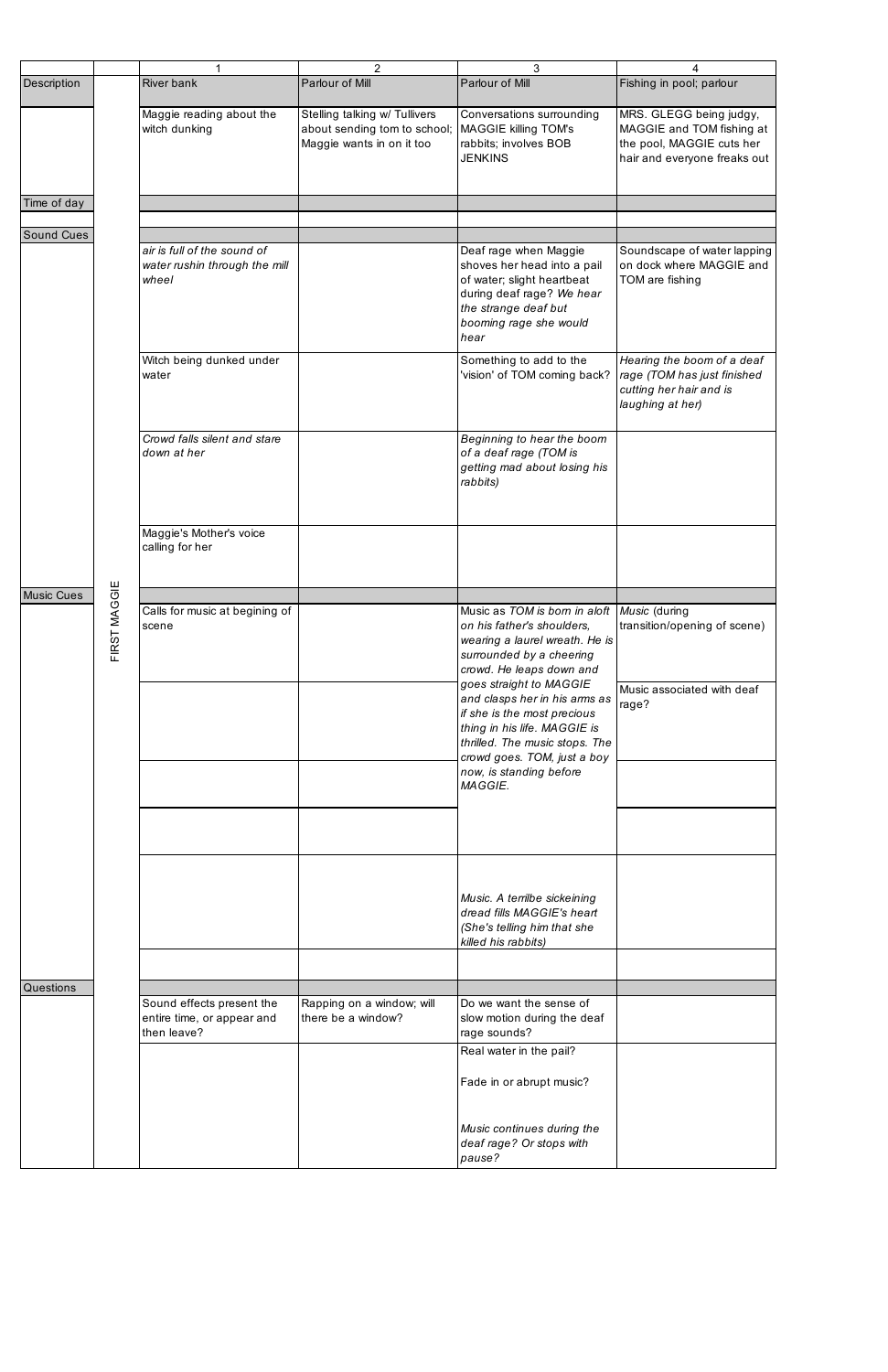|                   |              | 1                                                                      | $\overline{2}$                                                                             | 3                                                                                                                                                                                                | 4                                                                                                                 |
|-------------------|--------------|------------------------------------------------------------------------|--------------------------------------------------------------------------------------------|--------------------------------------------------------------------------------------------------------------------------------------------------------------------------------------------------|-------------------------------------------------------------------------------------------------------------------|
| Description       |              | <b>River bank</b>                                                      | Parlour of Mill                                                                            | Parlour of Mill                                                                                                                                                                                  | Fishing in pool; parlour                                                                                          |
|                   |              | Maggie reading about the<br>witch dunking                              | Stelling talking w/ Tullivers<br>about sending tom to school;<br>Maggie wants in on it too | Conversations surrounding<br><b>MAGGIE killing TOM's</b><br>rabbits; involves BOB<br><b>JENKINS</b>                                                                                              | MRS. GLEGG being judgy,<br>MAGGIE and TOM fishing at<br>the pool, MAGGIE cuts her<br>hair and everyone freaks out |
| Time of day       |              |                                                                        |                                                                                            |                                                                                                                                                                                                  |                                                                                                                   |
| <b>Sound Cues</b> |              |                                                                        |                                                                                            |                                                                                                                                                                                                  |                                                                                                                   |
|                   |              | air is full of the sound of<br>water rushin through the mill<br>wheel  |                                                                                            | Deaf rage when Maggie<br>shoves her head into a pail<br>of water; slight heartbeat<br>during deaf rage? We hear<br>the strange deaf but<br>booming rage she would<br>hear                        | Soundscape of water lapping<br>on dock where MAGGIE and<br>TOM are fishing                                        |
|                   |              | Witch being dunked under<br>water                                      |                                                                                            | Something to add to the<br>'vision' of TOM coming back?                                                                                                                                          | Hearing the boom of a deaf<br>rage (TOM has just finished<br>cutting her hair and is<br>laughing at her)          |
|                   |              | Crowd falls silent and stare<br>down at her                            |                                                                                            | Beginning to hear the boom<br>of a deaf rage (TOM is<br>getting mad about losing his<br>rabbits)                                                                                                 |                                                                                                                   |
|                   |              | Maggie's Mother's voice<br>calling for her                             |                                                                                            |                                                                                                                                                                                                  |                                                                                                                   |
| <b>Music Cues</b> |              |                                                                        |                                                                                            |                                                                                                                                                                                                  |                                                                                                                   |
|                   | FIRST MAGGIE | Calls for music at begining of<br>scene                                |                                                                                            | Music as TOM is born in aloft   Music (during<br>on his father's shoulders.<br>wearing a laurel wreath. He is<br>surrounded by a cheering<br>crowd. He leaps down and<br>goes straight to MAGGIE | transition/opening of scene)                                                                                      |
|                   |              |                                                                        |                                                                                            | and clasps her in his arms as<br>if she is the most precious<br>thing in his life. MAGGIE is<br>thrilled. The music stops. The<br>crowd goes. TOM, just a boy                                    | Music associated with deaf<br>rage?                                                                               |
|                   |              |                                                                        |                                                                                            | now, is standing before<br>MAGGIE.                                                                                                                                                               |                                                                                                                   |
|                   |              |                                                                        |                                                                                            |                                                                                                                                                                                                  |                                                                                                                   |
|                   |              |                                                                        |                                                                                            | Music. A terrilbe sickeining<br>dread fills MAGGIE's heart<br>(She's telling him that she<br>killed his rabbits)                                                                                 |                                                                                                                   |
|                   |              |                                                                        |                                                                                            |                                                                                                                                                                                                  |                                                                                                                   |
| <b>Questions</b>  |              |                                                                        |                                                                                            |                                                                                                                                                                                                  |                                                                                                                   |
|                   |              | Sound effects present the<br>entire time, or appear and<br>then leave? | Rapping on a window; will<br>there be a window?                                            | Do we want the sense of<br>slow motion during the deaf<br>rage sounds?                                                                                                                           |                                                                                                                   |
|                   |              |                                                                        |                                                                                            | Real water in the pail?<br>Fade in or abrupt music?                                                                                                                                              |                                                                                                                   |
|                   |              |                                                                        |                                                                                            | Music continues during the<br>deaf rage? Or stops with<br>pause?                                                                                                                                 |                                                                                                                   |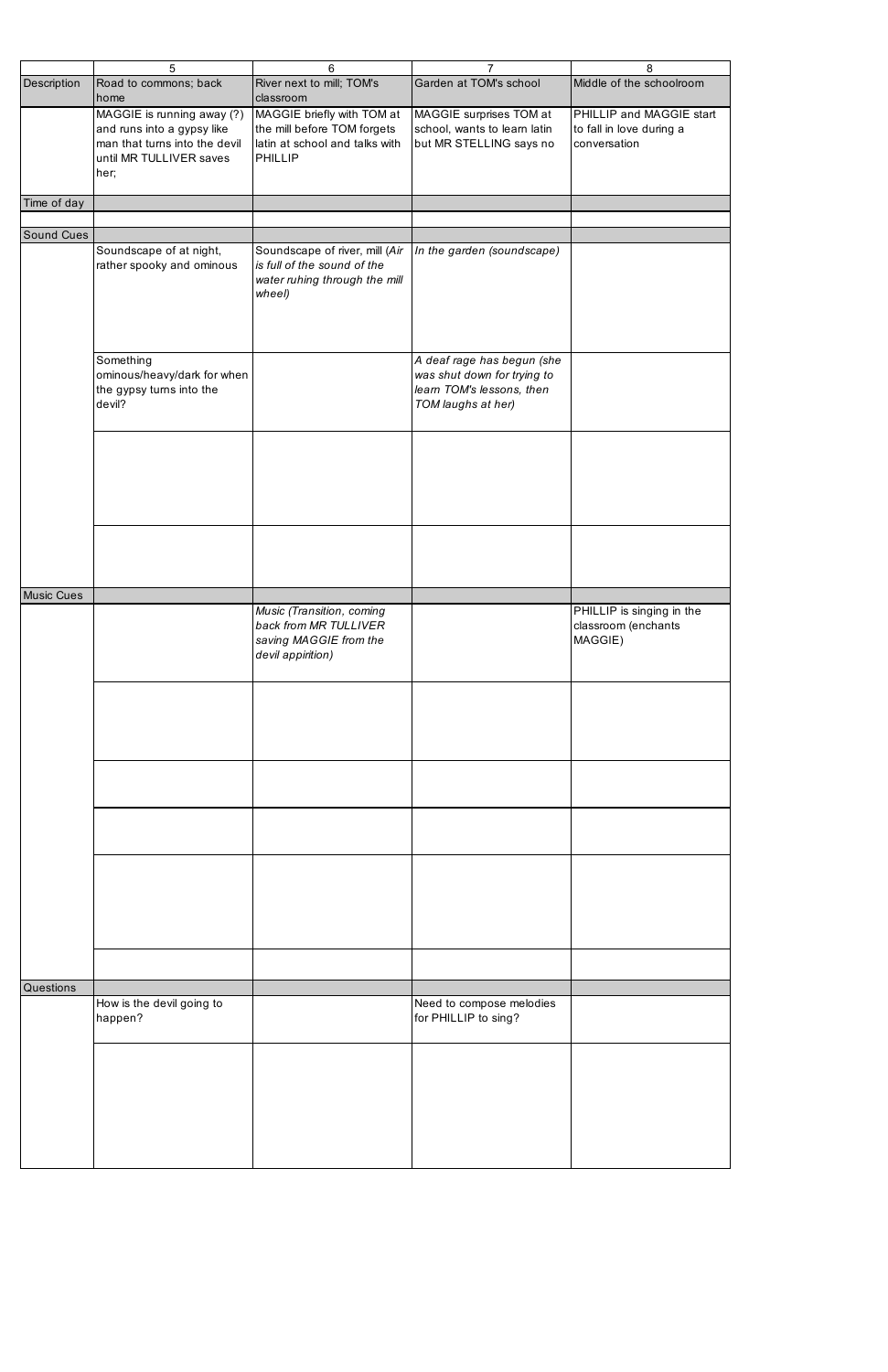|                   | 5                                                                                                                            | 6                                                                                                        | 7                                                                                                            | 8                                                                    |
|-------------------|------------------------------------------------------------------------------------------------------------------------------|----------------------------------------------------------------------------------------------------------|--------------------------------------------------------------------------------------------------------------|----------------------------------------------------------------------|
| Description       | Road to commons; back<br>home                                                                                                | River next to mill; TOM's<br>classroom                                                                   | Garden at TOM's school                                                                                       | Middle of the schoolroom                                             |
|                   | MAGGIE is running away (?)<br>and runs into a gypsy like<br>man that turns into the devil<br>until MR TULLIVER saves<br>her; | MAGGIE briefly with TOM at<br>the mill before TOM forgets<br>latin at school and talks with<br>PHILLIP   | MAGGIE surprises TOM at<br>school, wants to learn latin<br>but MR STELLING says no                           | PHILLIP and MAGGIE start<br>to fall in love during a<br>conversation |
| Time of day       |                                                                                                                              |                                                                                                          |                                                                                                              |                                                                      |
|                   |                                                                                                                              |                                                                                                          |                                                                                                              |                                                                      |
| <b>Sound Cues</b> |                                                                                                                              |                                                                                                          |                                                                                                              |                                                                      |
|                   | Soundscape of at night,<br>rather spooky and ominous                                                                         | Soundscape of river, mill (Air<br>is full of the sound of the<br>water ruhing through the mill<br>wheel) | In the garden (soundscape)                                                                                   |                                                                      |
|                   | Something<br>ominous/heavy/dark for when<br>the gypsy turns into the<br>devil?                                               |                                                                                                          | A deaf rage has begun (she<br>was shut down for trying to<br>learn TOM's lessons, then<br>TOM laughs at her) |                                                                      |
|                   |                                                                                                                              |                                                                                                          |                                                                                                              |                                                                      |
|                   |                                                                                                                              |                                                                                                          |                                                                                                              |                                                                      |
| <b>Music Cues</b> |                                                                                                                              |                                                                                                          |                                                                                                              |                                                                      |
|                   |                                                                                                                              | Music (Transition, coming<br>back from MR TULLIVER<br>saving MAGGIE from the<br>devil appirition)        |                                                                                                              | PHILLIP is singing in the<br>classroom (enchants<br>MAGGIE)          |
|                   |                                                                                                                              |                                                                                                          |                                                                                                              |                                                                      |
|                   |                                                                                                                              |                                                                                                          |                                                                                                              |                                                                      |
|                   |                                                                                                                              |                                                                                                          |                                                                                                              |                                                                      |
|                   |                                                                                                                              |                                                                                                          |                                                                                                              |                                                                      |
|                   |                                                                                                                              |                                                                                                          |                                                                                                              |                                                                      |
| <b>Questions</b>  |                                                                                                                              |                                                                                                          |                                                                                                              |                                                                      |
|                   | How is the devil going to<br>happen?                                                                                         |                                                                                                          | Need to compose melodies<br>for PHILLIP to sing?                                                             |                                                                      |
|                   |                                                                                                                              |                                                                                                          |                                                                                                              |                                                                      |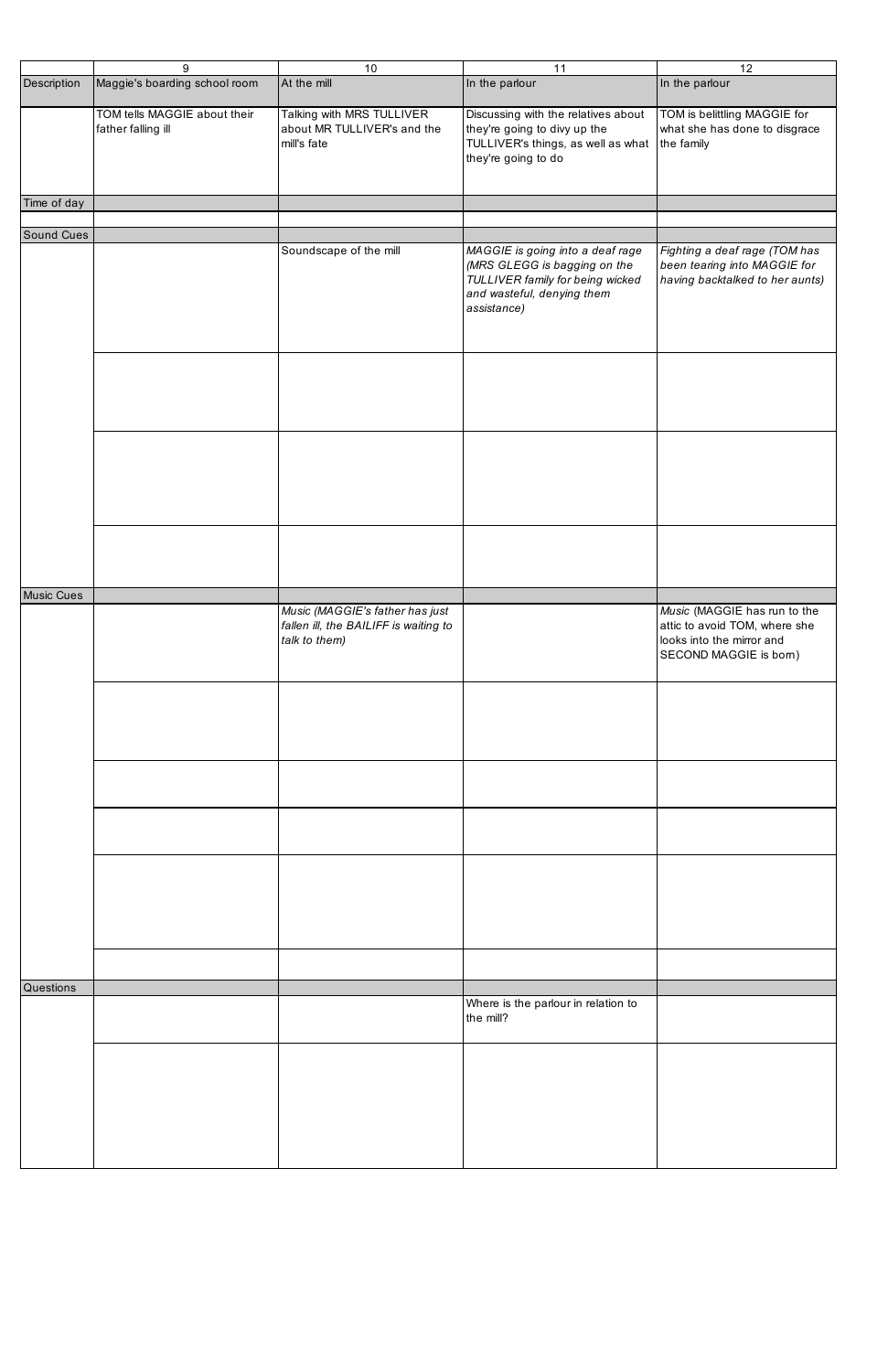|                   | 9                             | 10                                    | 11                                            | 12                              |
|-------------------|-------------------------------|---------------------------------------|-----------------------------------------------|---------------------------------|
| Description       | Maggie's boarding school room | At the mill                           | In the parlour                                | In the parlour                  |
|                   |                               |                                       |                                               |                                 |
|                   | TOM tells MAGGIE about their  | Talking with MRS TULLIVER             | Discussing with the relatives about           | TOM is belittling MAGGIE for    |
|                   | father falling ill            | about MR TULLIVER's and the           | they're going to divy up the                  | what she has done to disgrace   |
|                   |                               | mill's fate                           |                                               |                                 |
|                   |                               |                                       | TULLIVER's things, as well as what the family |                                 |
|                   |                               |                                       | they're going to do                           |                                 |
|                   |                               |                                       |                                               |                                 |
|                   |                               |                                       |                                               |                                 |
| Time of day       |                               |                                       |                                               |                                 |
|                   |                               |                                       |                                               |                                 |
|                   |                               |                                       |                                               |                                 |
| Sound Cues        |                               |                                       |                                               |                                 |
|                   |                               | Soundscape of the mill                | MAGGIE is going into a deaf rage              | Fighting a deaf rage (TOM has   |
|                   |                               |                                       | (MRS GLEGG is bagging on the                  | been tearing into MAGGIE for    |
|                   |                               |                                       | TULLIVER family for being wicked              | having backtalked to her aunts) |
|                   |                               |                                       | and wasteful, denying them                    |                                 |
|                   |                               |                                       |                                               |                                 |
|                   |                               |                                       | assistance)                                   |                                 |
|                   |                               |                                       |                                               |                                 |
|                   |                               |                                       |                                               |                                 |
|                   |                               |                                       |                                               |                                 |
|                   |                               |                                       |                                               |                                 |
|                   |                               |                                       |                                               |                                 |
|                   |                               |                                       |                                               |                                 |
|                   |                               |                                       |                                               |                                 |
|                   |                               |                                       |                                               |                                 |
|                   |                               |                                       |                                               |                                 |
|                   |                               |                                       |                                               |                                 |
|                   |                               |                                       |                                               |                                 |
|                   |                               |                                       |                                               |                                 |
|                   |                               |                                       |                                               |                                 |
|                   |                               |                                       |                                               |                                 |
|                   |                               |                                       |                                               |                                 |
|                   |                               |                                       |                                               |                                 |
|                   |                               |                                       |                                               |                                 |
|                   |                               |                                       |                                               |                                 |
|                   |                               |                                       |                                               |                                 |
|                   |                               |                                       |                                               |                                 |
|                   |                               |                                       |                                               |                                 |
| <b>Music Cues</b> |                               |                                       |                                               |                                 |
|                   |                               |                                       |                                               |                                 |
|                   |                               | Music (MAGGIE's father has just       |                                               | Music (MAGGIE has run to the    |
|                   |                               | fallen ill, the BAILIFF is waiting to |                                               | attic to avoid TOM, where she   |
|                   |                               | talk to them)                         |                                               | looks into the mirror and       |
|                   |                               |                                       |                                               | SECOND MAGGIE is born)          |
|                   |                               |                                       |                                               |                                 |
|                   |                               |                                       |                                               |                                 |
|                   |                               |                                       |                                               |                                 |
|                   |                               |                                       |                                               |                                 |
|                   |                               |                                       |                                               |                                 |
|                   |                               |                                       |                                               |                                 |
|                   |                               |                                       |                                               |                                 |
|                   |                               |                                       |                                               |                                 |
|                   |                               |                                       |                                               |                                 |
|                   |                               |                                       |                                               |                                 |
|                   |                               |                                       |                                               |                                 |
|                   |                               |                                       |                                               |                                 |
|                   |                               |                                       |                                               |                                 |
|                   |                               |                                       |                                               |                                 |
|                   |                               |                                       |                                               |                                 |
|                   |                               |                                       |                                               |                                 |
|                   |                               |                                       |                                               |                                 |
|                   |                               |                                       |                                               |                                 |
|                   |                               |                                       |                                               |                                 |
|                   |                               |                                       |                                               |                                 |
|                   |                               |                                       |                                               |                                 |
|                   |                               |                                       |                                               |                                 |
|                   |                               |                                       |                                               |                                 |
|                   |                               |                                       |                                               |                                 |
|                   |                               |                                       |                                               |                                 |
| <b>Questions</b>  |                               |                                       |                                               |                                 |
|                   |                               |                                       | Where is the parlour in relation to           |                                 |
|                   |                               |                                       | the mill?                                     |                                 |
|                   |                               |                                       |                                               |                                 |
|                   |                               |                                       |                                               |                                 |
|                   |                               |                                       |                                               |                                 |
|                   |                               |                                       |                                               |                                 |
|                   |                               |                                       |                                               |                                 |
|                   |                               |                                       |                                               |                                 |
|                   |                               |                                       |                                               |                                 |
|                   |                               |                                       |                                               |                                 |
|                   |                               |                                       |                                               |                                 |
|                   |                               |                                       |                                               |                                 |
|                   |                               |                                       |                                               |                                 |
|                   |                               |                                       |                                               |                                 |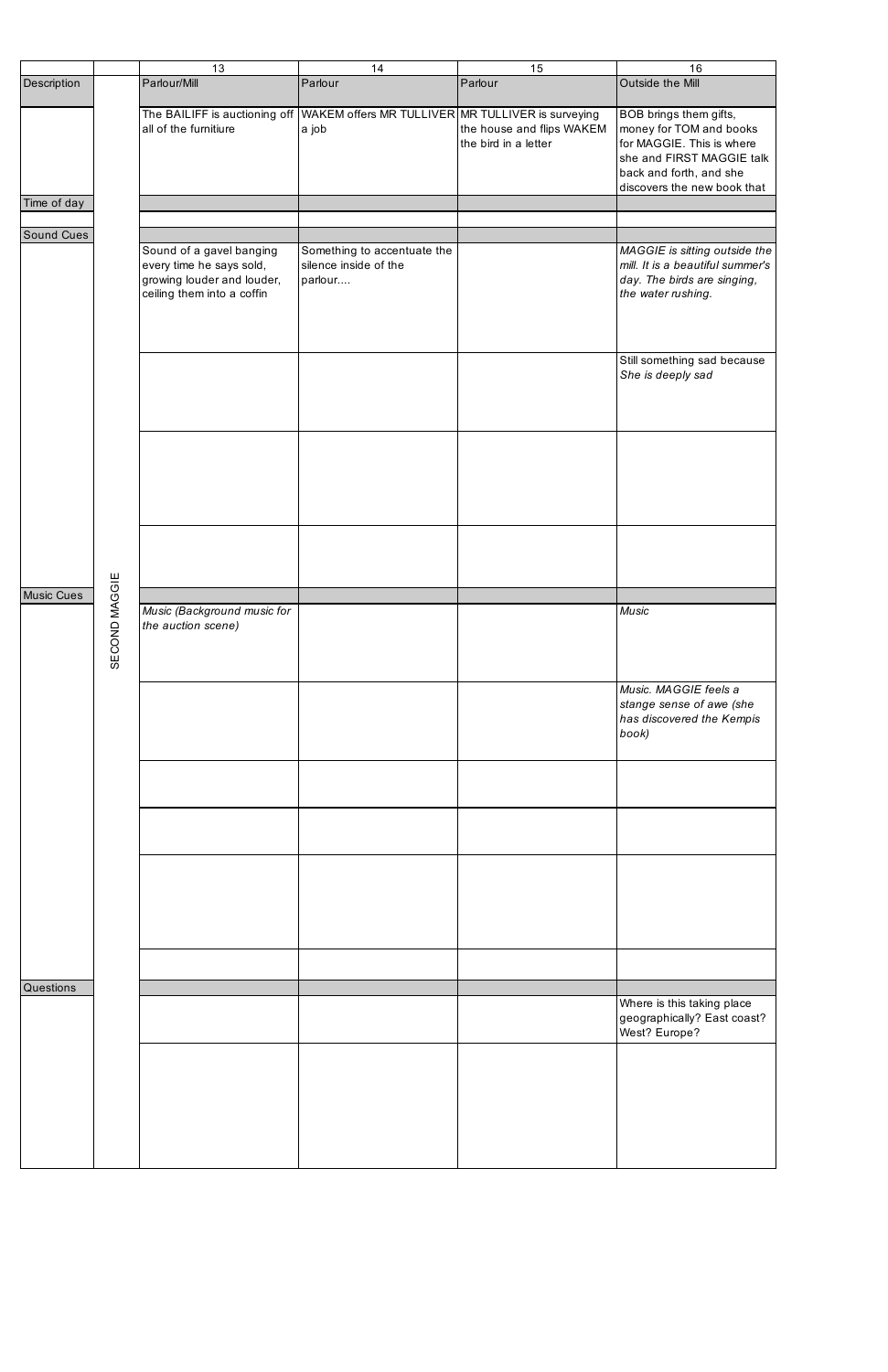|                  |               | 13                                                                                                               | 14                                                                                       | 15                                                | 16                                                                                                                                                                    |
|------------------|---------------|------------------------------------------------------------------------------------------------------------------|------------------------------------------------------------------------------------------|---------------------------------------------------|-----------------------------------------------------------------------------------------------------------------------------------------------------------------------|
| Description      |               | Parlour/Mill                                                                                                     | Parlour                                                                                  | Parlour                                           | Outside the Mill                                                                                                                                                      |
|                  |               | all of the furnitiure                                                                                            | The BAILIFF is auctioning off WAKEM offers MR TULLIVER MR TULLIVER is surveying<br>a job | the house and flips WAKEM<br>the bird in a letter | BOB brings them gifts,<br>money for TOM and books<br>for MAGGIE. This is where<br>she and FIRST MAGGIE talk<br>back and forth, and she<br>discovers the new book that |
| Time of day      |               |                                                                                                                  |                                                                                          |                                                   |                                                                                                                                                                       |
| Sound Cues       |               |                                                                                                                  |                                                                                          |                                                   |                                                                                                                                                                       |
|                  |               | Sound of a gavel banging<br>every time he says sold,<br>growing louder and louder,<br>ceiling them into a coffin | Something to accentuate the<br>silence inside of the<br>parlour                          |                                                   | MAGGIE is sitting outside the<br>mill. It is a beautiful summer's<br>day. The birds are singing,<br>the water rushing.                                                |
|                  |               |                                                                                                                  |                                                                                          |                                                   | Still something sad because<br>She is deeply sad                                                                                                                      |
|                  |               |                                                                                                                  |                                                                                          |                                                   |                                                                                                                                                                       |
|                  |               |                                                                                                                  |                                                                                          |                                                   |                                                                                                                                                                       |
| Music Cues       |               | Music (Background music for                                                                                      |                                                                                          |                                                   | <b>Music</b>                                                                                                                                                          |
|                  | SECOND MAGGIE | the auction scene)                                                                                               |                                                                                          |                                                   |                                                                                                                                                                       |
|                  |               |                                                                                                                  |                                                                                          |                                                   | Music. MAGGIE feels a<br>stange sense of awe (she<br>has discovered the Kempis<br>book)                                                                               |
|                  |               |                                                                                                                  |                                                                                          |                                                   |                                                                                                                                                                       |
|                  |               |                                                                                                                  |                                                                                          |                                                   |                                                                                                                                                                       |
|                  |               |                                                                                                                  |                                                                                          |                                                   |                                                                                                                                                                       |
|                  |               |                                                                                                                  |                                                                                          |                                                   |                                                                                                                                                                       |
| <b>Questions</b> |               |                                                                                                                  |                                                                                          |                                                   |                                                                                                                                                                       |
|                  |               |                                                                                                                  |                                                                                          |                                                   | Where is this taking place<br>geographically? East coast?<br>West? Europe?                                                                                            |
|                  |               |                                                                                                                  |                                                                                          |                                                   |                                                                                                                                                                       |
|                  |               |                                                                                                                  |                                                                                          |                                                   |                                                                                                                                                                       |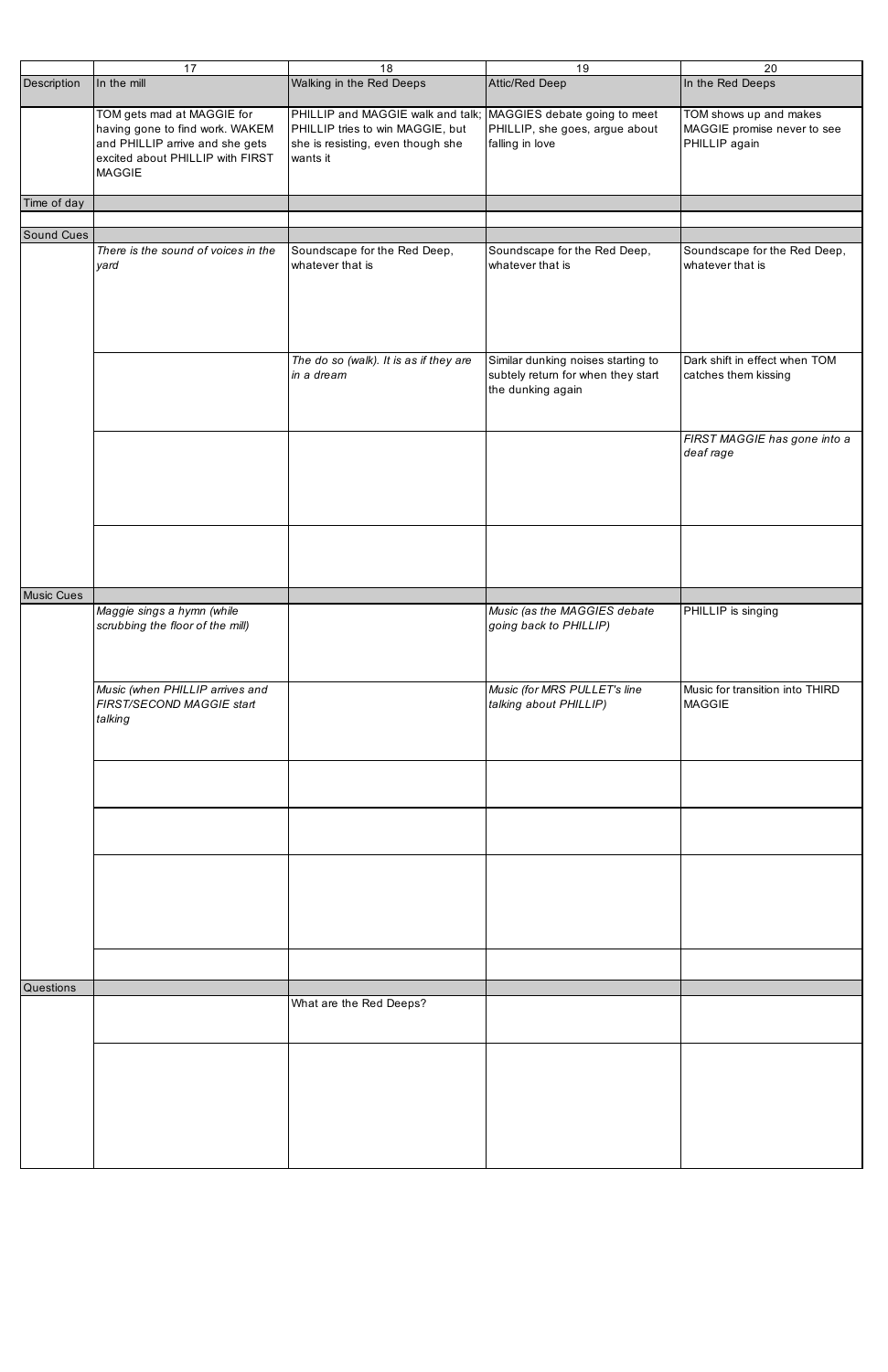|                   | 17                                                                                                                                                    | 18                                                                                                                                                    | 19                                                                                            | 20                                                                     |
|-------------------|-------------------------------------------------------------------------------------------------------------------------------------------------------|-------------------------------------------------------------------------------------------------------------------------------------------------------|-----------------------------------------------------------------------------------------------|------------------------------------------------------------------------|
| Description       | In the mill                                                                                                                                           | Walking in the Red Deeps                                                                                                                              | Attic/Red Deep                                                                                | In the Red Deeps                                                       |
|                   |                                                                                                                                                       |                                                                                                                                                       |                                                                                               |                                                                        |
|                   | TOM gets mad at MAGGIE for<br>having gone to find work. WAKEM<br>and PHILLIP arrive and she gets<br>excited about PHILLIP with FIRST<br><b>MAGGIE</b> | PHILLIP and MAGGIE walk and talk;   MAGGIES debate going to meet<br>PHILLIP tries to win MAGGIE, but<br>she is resisting, even though she<br>wants it | PHILLIP, she goes, argue about<br>falling in love                                             | TOM shows up and makes<br>MAGGIE promise never to see<br>PHILLIP again |
| Time of day       |                                                                                                                                                       |                                                                                                                                                       |                                                                                               |                                                                        |
|                   |                                                                                                                                                       |                                                                                                                                                       |                                                                                               |                                                                        |
| <b>Sound Cues</b> |                                                                                                                                                       |                                                                                                                                                       |                                                                                               |                                                                        |
|                   | There is the sound of voices in the<br>yard                                                                                                           | Soundscape for the Red Deep,<br>whatever that is                                                                                                      | Soundscape for the Red Deep,<br>whatever that is                                              | Soundscape for the Red Deep,<br>whatever that is                       |
|                   |                                                                                                                                                       | The do so (walk). It is as if they are<br>in a dream                                                                                                  | Similar dunking noises starting to<br>subtely return for when they start<br>the dunking again | Dark shift in effect when TOM<br>catches them kissing                  |
|                   |                                                                                                                                                       |                                                                                                                                                       |                                                                                               | FIRST MAGGIE has gone into a<br>deaf rage                              |
|                   |                                                                                                                                                       |                                                                                                                                                       |                                                                                               |                                                                        |
| <b>Music Cues</b> |                                                                                                                                                       |                                                                                                                                                       |                                                                                               |                                                                        |
|                   | Maggie sings a hymn (while<br>scrubbing the floor of the mill)                                                                                        |                                                                                                                                                       | Music (as the MAGGIES debate<br>going back to PHILLIP)                                        | PHILLIP is singing                                                     |
|                   | Music (when PHILLIP arrives and<br>FIRST/SECOND MAGGIE start<br>talking                                                                               |                                                                                                                                                       | Music (for MRS PULLET's line<br>talking about PHILLIP)                                        | Music for transition into THIRD<br><b>MAGGIE</b>                       |
|                   |                                                                                                                                                       |                                                                                                                                                       |                                                                                               |                                                                        |
|                   |                                                                                                                                                       |                                                                                                                                                       |                                                                                               |                                                                        |
|                   |                                                                                                                                                       |                                                                                                                                                       |                                                                                               |                                                                        |
|                   |                                                                                                                                                       |                                                                                                                                                       |                                                                                               |                                                                        |
| <b>Questions</b>  |                                                                                                                                                       |                                                                                                                                                       |                                                                                               |                                                                        |
|                   |                                                                                                                                                       | What are the Red Deeps?                                                                                                                               |                                                                                               |                                                                        |
|                   |                                                                                                                                                       |                                                                                                                                                       |                                                                                               |                                                                        |
|                   |                                                                                                                                                       |                                                                                                                                                       |                                                                                               |                                                                        |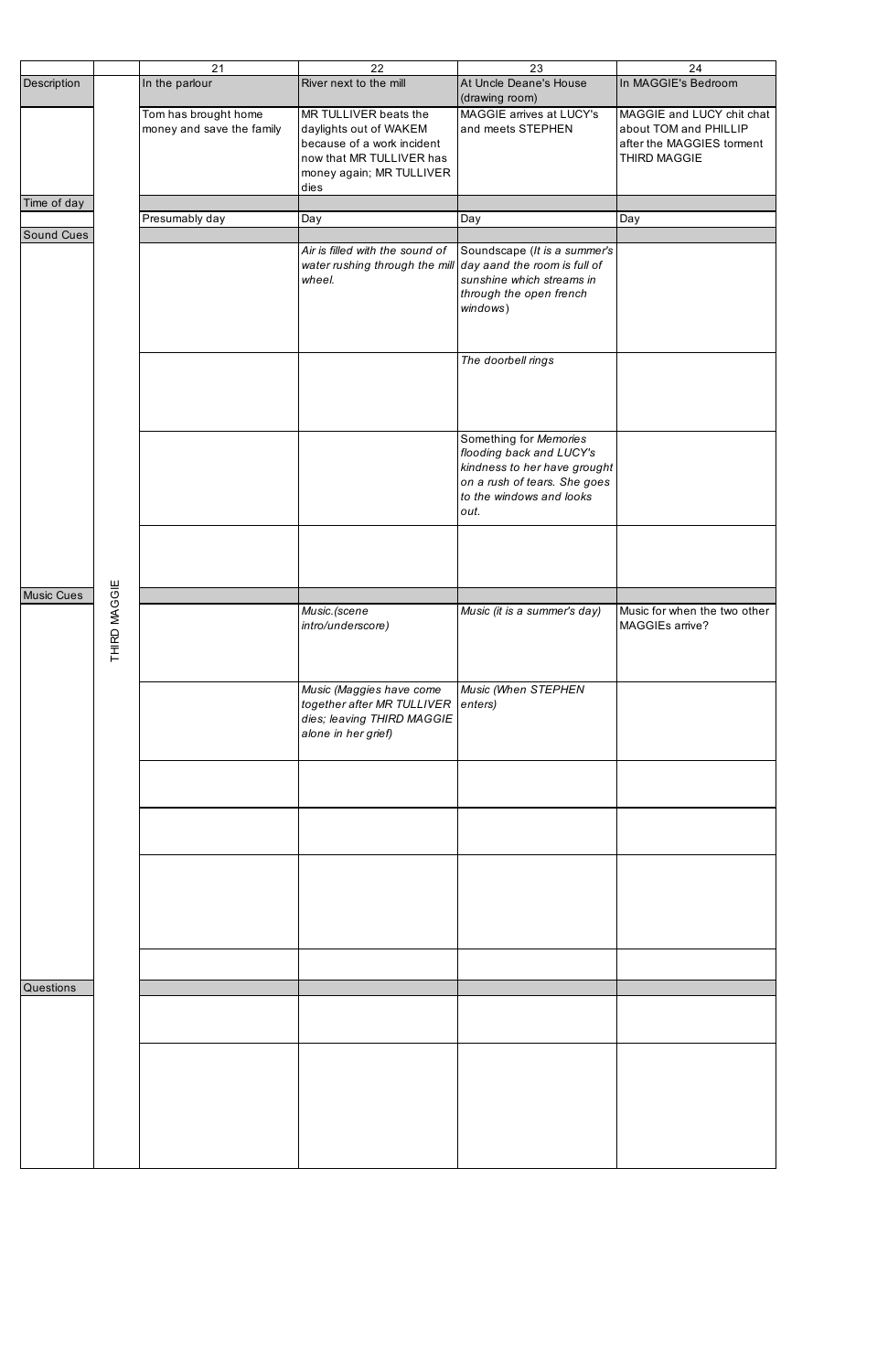|                   |              | 21                                                | 22                                                                                                                                            | 23                                                                                                                                                     | 24                                                                                              |
|-------------------|--------------|---------------------------------------------------|-----------------------------------------------------------------------------------------------------------------------------------------------|--------------------------------------------------------------------------------------------------------------------------------------------------------|-------------------------------------------------------------------------------------------------|
| Description       |              | In the parlour                                    | River next to the mill                                                                                                                        | At Uncle Deane's House<br>(drawing room)                                                                                                               | In MAGGIE's Bedroom                                                                             |
|                   |              | Tom has brought home<br>money and save the family | MR TULLIVER beats the<br>daylights out of WAKEM<br>because of a work incident<br>now that MR TULLIVER has<br>money again; MR TULLIVER<br>dies | MAGGIE arrives at LUCY's<br>and meets STEPHEN                                                                                                          | MAGGIE and LUCY chit chat<br>about TOM and PHILLIP<br>after the MAGGIES torment<br>THIRD MAGGIE |
| Time of day       |              |                                                   |                                                                                                                                               |                                                                                                                                                        |                                                                                                 |
|                   |              | Presumably day                                    | Day                                                                                                                                           | Day                                                                                                                                                    | Day                                                                                             |
| <b>Sound Cues</b> |              |                                                   | Air is filled with the sound of<br>water rushing through the mill $\vert$ day aand the room is full of<br>wheel.                              | Soundscape (It is a summer's<br>sunshine which streams in<br>through the open french<br>windows)                                                       |                                                                                                 |
|                   |              |                                                   |                                                                                                                                               | The doorbell rings                                                                                                                                     |                                                                                                 |
|                   |              |                                                   |                                                                                                                                               | Something for Memories<br>flooding back and LUCY's<br>kindness to her have grought<br>on a rush of tears. She goes<br>to the windows and looks<br>out. |                                                                                                 |
|                   |              |                                                   |                                                                                                                                               |                                                                                                                                                        |                                                                                                 |
| <b>Music Cues</b> | THIRD MAGGIE |                                                   | Music. (scene<br>intro/underscore)                                                                                                            | Music (it is a summer's day)                                                                                                                           | Music for when the two other<br>MAGGIEs arrive?                                                 |
|                   |              |                                                   | Music (Maggies have come<br>together after MR TULLIVER enters)<br>dies; leaving THIRD MAGGIE<br>alone in her grief)                           | Music (When STEPHEN                                                                                                                                    |                                                                                                 |
|                   |              |                                                   |                                                                                                                                               |                                                                                                                                                        |                                                                                                 |
|                   |              |                                                   |                                                                                                                                               |                                                                                                                                                        |                                                                                                 |
|                   |              |                                                   |                                                                                                                                               |                                                                                                                                                        |                                                                                                 |
|                   |              |                                                   |                                                                                                                                               |                                                                                                                                                        |                                                                                                 |
| <b>Questions</b>  |              |                                                   |                                                                                                                                               |                                                                                                                                                        |                                                                                                 |
|                   |              |                                                   |                                                                                                                                               |                                                                                                                                                        |                                                                                                 |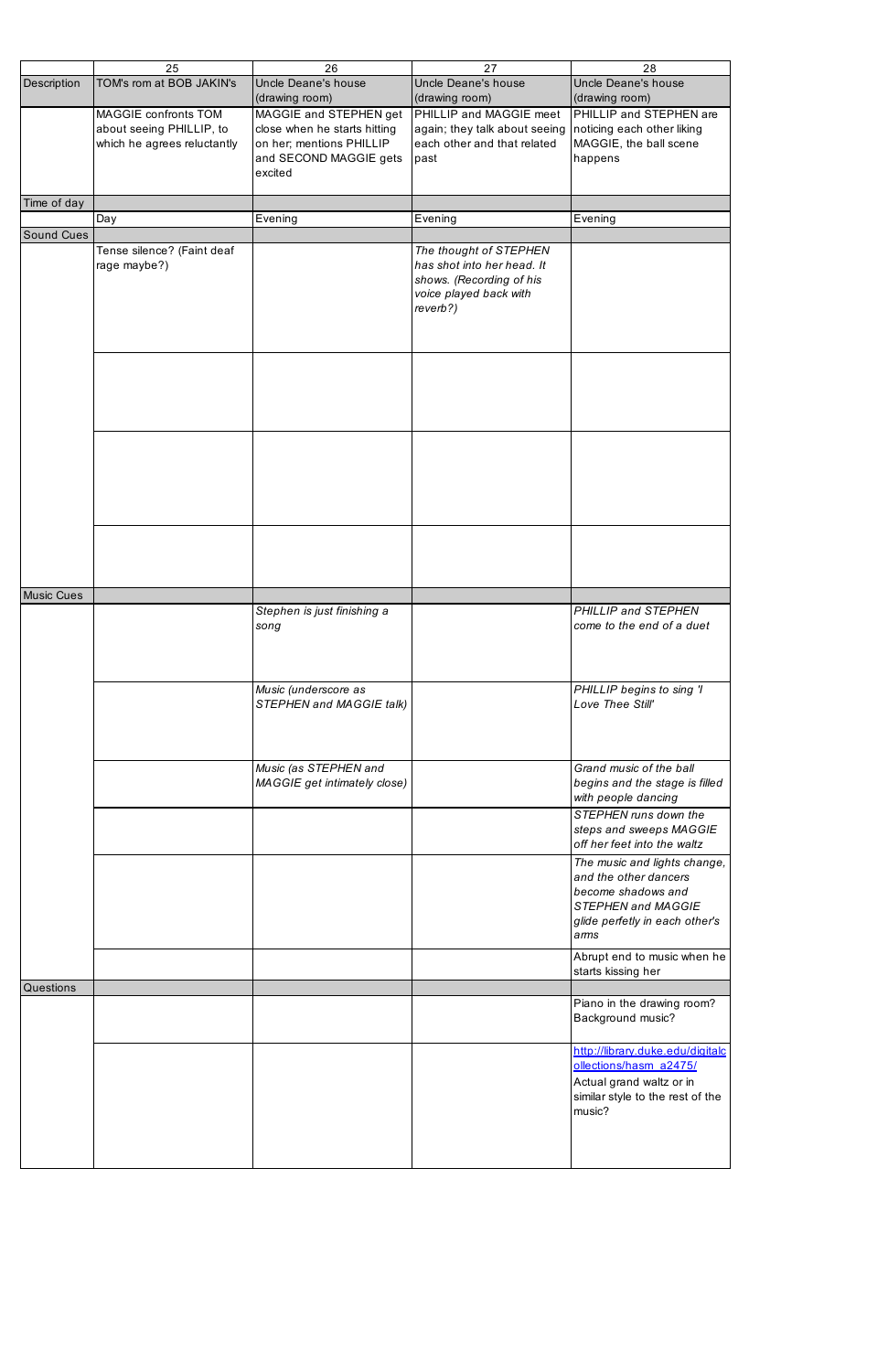|                   | 25                          | 26                           | 27                            | 28                               |
|-------------------|-----------------------------|------------------------------|-------------------------------|----------------------------------|
| Description       | TOM's rom at BOB JAKIN's    | Uncle Deane's house          | Uncle Deane's house           | Uncle Deane's house              |
|                   |                             | (drawing room)               | (drawing room)                | (drawing room)                   |
|                   | MAGGIE confronts TOM        |                              |                               |                                  |
|                   |                             | MAGGIE and STEPHEN get       | PHILLIP and MAGGIE meet       | PHILLIP and STEPHEN are          |
|                   | about seeing PHILLIP, to    | close when he starts hitting | again; they talk about seeing | noticing each other liking       |
|                   | which he agrees reluctantly | on her; mentions PHILLIP     | each other and that related   | MAGGIE, the ball scene           |
|                   |                             | and SECOND MAGGIE gets       | past                          | happens                          |
|                   |                             | excited                      |                               |                                  |
|                   |                             |                              |                               |                                  |
| Time of day       |                             |                              |                               |                                  |
|                   | Day                         | Evening                      | Evening                       | Evening                          |
| Sound Cues        |                             |                              |                               |                                  |
|                   | Tense silence? (Faint deaf  |                              | The thought of STEPHEN        |                                  |
|                   | rage maybe?)                |                              | has shot into her head. It    |                                  |
|                   |                             |                              | shows. (Recording of his      |                                  |
|                   |                             |                              | voice played back with        |                                  |
|                   |                             |                              | reverb?)                      |                                  |
|                   |                             |                              |                               |                                  |
|                   |                             |                              |                               |                                  |
|                   |                             |                              |                               |                                  |
|                   |                             |                              |                               |                                  |
|                   |                             |                              |                               |                                  |
|                   |                             |                              |                               |                                  |
|                   |                             |                              |                               |                                  |
|                   |                             |                              |                               |                                  |
|                   |                             |                              |                               |                                  |
|                   |                             |                              |                               |                                  |
|                   |                             |                              |                               |                                  |
|                   |                             |                              |                               |                                  |
|                   |                             |                              |                               |                                  |
|                   |                             |                              |                               |                                  |
|                   |                             |                              |                               |                                  |
|                   |                             |                              |                               |                                  |
|                   |                             |                              |                               |                                  |
|                   |                             |                              |                               |                                  |
| <b>Music Cues</b> |                             |                              |                               |                                  |
|                   |                             | Stephen is just finishing a  |                               | PHILLIP and STEPHEN              |
|                   |                             | song                         |                               | come to the end of a duet        |
|                   |                             |                              |                               |                                  |
|                   |                             |                              |                               |                                  |
|                   |                             |                              |                               |                                  |
|                   |                             | Music (underscore as         |                               | PHILLIP begins to sing 'I        |
|                   |                             | STEPHEN and MAGGIE talk)     |                               | Love Thee Still'                 |
|                   |                             |                              |                               |                                  |
|                   |                             |                              |                               |                                  |
|                   |                             |                              |                               |                                  |
|                   |                             |                              |                               |                                  |
|                   |                             | Music (as STEPHEN and        |                               | Grand music of the ball          |
|                   |                             | MAGGIE get intimately close) |                               | begins and the stage is filled   |
|                   |                             |                              |                               | with people dancing              |
|                   |                             |                              |                               | STEPHEN runs down the            |
|                   |                             |                              |                               | steps and sweeps MAGGIE          |
|                   |                             |                              |                               | off her feet into the waltz      |
|                   |                             |                              |                               | The music and lights change,     |
|                   |                             |                              |                               | and the other dancers            |
|                   |                             |                              |                               | become shadows and               |
|                   |                             |                              |                               | STEPHEN and MAGGIE               |
|                   |                             |                              |                               | glide perfetly in each other's   |
|                   |                             |                              |                               | arms                             |
|                   |                             |                              |                               | Abrupt end to music when he      |
|                   |                             |                              |                               | starts kissing her               |
| Questions         |                             |                              |                               |                                  |
|                   |                             |                              |                               | Piano in the drawing room?       |
|                   |                             |                              |                               | Background music?                |
|                   |                             |                              |                               |                                  |
|                   |                             |                              |                               | http://library.duke.edu/digitalc |
|                   |                             |                              |                               | ollections/hasm_a2475/           |
|                   |                             |                              |                               |                                  |
|                   |                             |                              |                               | Actual grand waltz or in         |
|                   |                             |                              |                               | similar style to the rest of the |
|                   |                             |                              |                               | music?                           |
|                   |                             |                              |                               |                                  |
|                   |                             |                              |                               |                                  |
|                   |                             |                              |                               |                                  |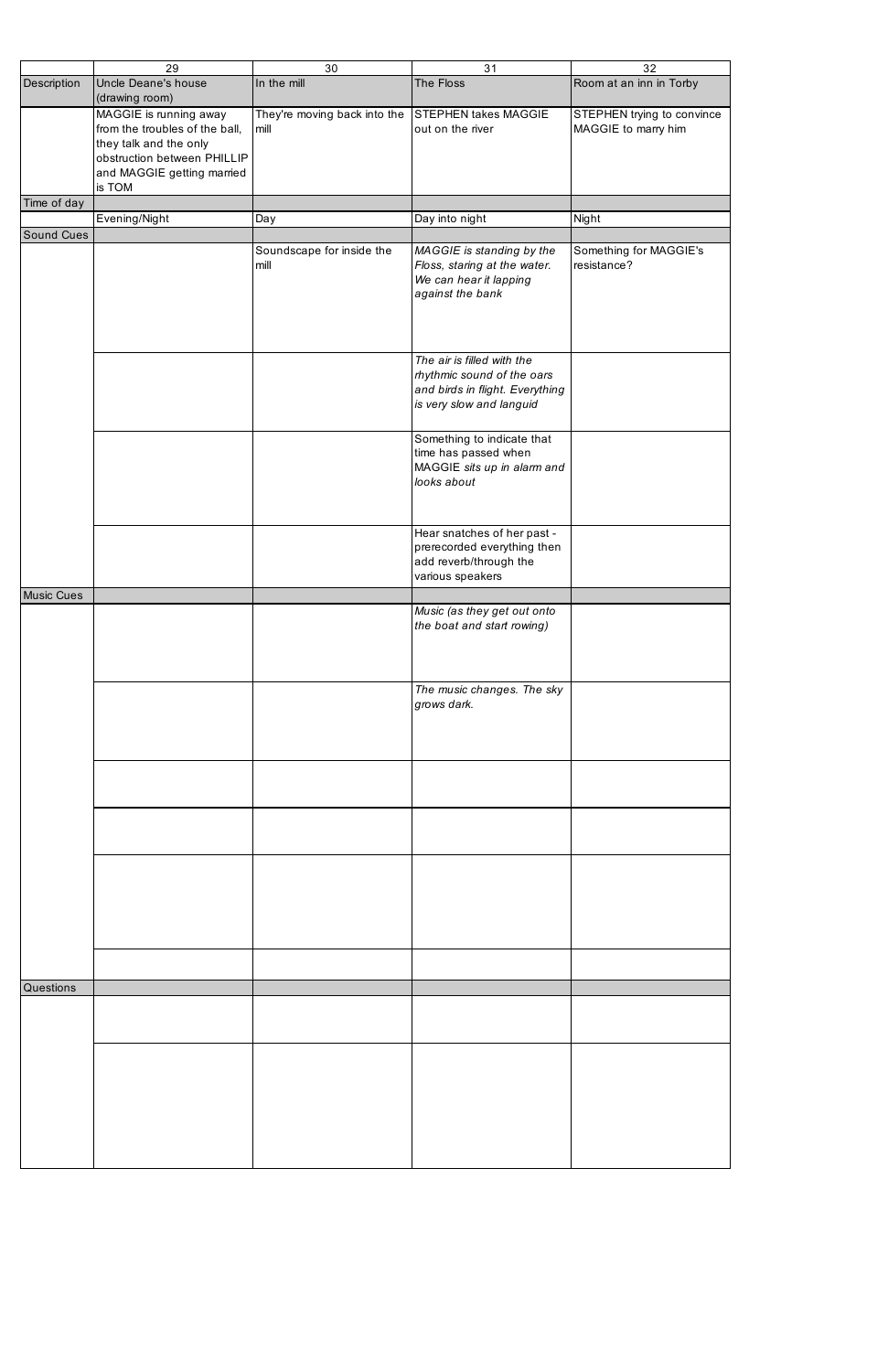|                   | 29                                                                                                                                                        | 30                                   | 31                                                                                                                      | 32                                                |
|-------------------|-----------------------------------------------------------------------------------------------------------------------------------------------------------|--------------------------------------|-------------------------------------------------------------------------------------------------------------------------|---------------------------------------------------|
| Description       | Uncle Deane's house<br>(drawing room)                                                                                                                     | In the mill                          | The Floss                                                                                                               | Room at an inn in Torby                           |
|                   | MAGGIE is running away<br>from the troubles of the ball,<br>they talk and the only<br>obstruction between PHILLIP<br>and MAGGIE getting married<br>is TOM | They're moving back into the<br>mill | <b>STEPHEN takes MAGGIE</b><br>out on the river                                                                         | STEPHEN trying to convince<br>MAGGIE to marry him |
| Time of day       |                                                                                                                                                           |                                      |                                                                                                                         |                                                   |
| Sound Cues        | Evening/Night                                                                                                                                             | Day                                  | Day into night                                                                                                          | Night                                             |
|                   |                                                                                                                                                           | Soundscape for inside the<br>mill    | MAGGIE is standing by the<br>Floss, staring at the water.<br>We can hear it lapping<br>against the bank                 | Something for MAGGIE's<br>resistance?             |
|                   |                                                                                                                                                           |                                      | The air is filled with the<br>rhythmic sound of the oars<br>and birds in flight. Everything<br>is very slow and languid |                                                   |
|                   |                                                                                                                                                           |                                      | Something to indicate that<br>time has passed when<br>MAGGIE sits up in alarm and<br>looks about                        |                                                   |
|                   |                                                                                                                                                           |                                      | Hear snatches of her past -<br>prerecorded everything then<br>add reverb/through the<br>various speakers                |                                                   |
| <b>Music Cues</b> |                                                                                                                                                           |                                      |                                                                                                                         |                                                   |
|                   |                                                                                                                                                           |                                      | Music (as they get out onto<br>the boat and start rowing)                                                               |                                                   |
|                   |                                                                                                                                                           |                                      | The music changes. The sky<br>grows dark.                                                                               |                                                   |
|                   |                                                                                                                                                           |                                      |                                                                                                                         |                                                   |
|                   |                                                                                                                                                           |                                      |                                                                                                                         |                                                   |
|                   |                                                                                                                                                           |                                      |                                                                                                                         |                                                   |
|                   |                                                                                                                                                           |                                      |                                                                                                                         |                                                   |
| Questions         |                                                                                                                                                           |                                      |                                                                                                                         |                                                   |
|                   |                                                                                                                                                           |                                      |                                                                                                                         |                                                   |
|                   |                                                                                                                                                           |                                      |                                                                                                                         |                                                   |